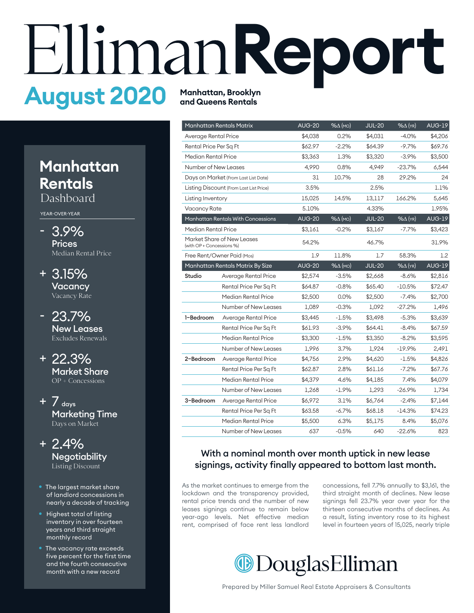# **Report August 2020 Manhattan, Brooklyn**

## **Manhattan Rentals**

Dashboard

YEAR-OVER-YEAR

- 3.9% **Prices** Median Rental Price
- 3.15% + **Vacancy** Vacancy Rate
- 23.7% New Leases Excludes Renewals
- 22.3% + Market Share OP + Concessions
- $+$  7 days Marketing Time Days on Market
- 2.4% + **Negotiability** Listing Discount
- The largest market share of landlord concessions in nearly a decade of tracking
- Highest total of listing inventory in over fourteen years and third straight monthly record
- The vacancy rate exceeds five percent for the first time and the fourth consecutive month with a new record

## **and Queens Rentals**

|                           | <b>Manhattan Rentals Matrix</b>           | <b>AUG-20</b> | $% \triangle (MO)$ | <b>JUL-20</b> | $% \Delta$ (YR)   | <b>AUG-19</b> |
|---------------------------|-------------------------------------------|---------------|--------------------|---------------|-------------------|---------------|
| Average Rental Price      |                                           | \$4,038       | 0.2%               | \$4,031       | $-4.0%$           | \$4,206       |
|                           | Rental Price Per Sq Ft                    |               | $-2.2%$            | \$64.39       | $-9.7%$           | \$69.76       |
| Median Rental Price       |                                           | \$3,363       | 1.3%               | \$3,320       | $-3.9%$           | \$3,500       |
| Number of New Leases      |                                           | 4,990         | 0.8%               | 4,949         | $-23.7%$          | 6,544         |
|                           | Days on Market (From Last List Date)      | 31            | 10.7%              | 28            | 29.2%             | 24            |
|                           | Listing Discount (From Last List Price)   | 3.5%          |                    | 2.5%          |                   | 1.1%          |
| Listing Inventory         |                                           | 15,025        | 14.5%              | 13,117        | 166.2%            | 5,645         |
| Vacancy Rate              |                                           | 5.10%         |                    | 4.33%         |                   | 1.95%         |
|                           | <b>Manhattan Rentals With Concessions</b> | <b>AUG-20</b> | $% \triangle (MO)$ | <b>JUL-20</b> | % $\Delta$ (YR)   | <b>AUG-19</b> |
| Median Rental Price       |                                           | \$3,161       | $-0.2%$            | \$3,167       | $-7.7%$           | \$3,423       |
| (with OP + Concessions %) | Market Share of New Leases                | 54.2%         |                    | 46.7%         |                   | 31.9%         |
|                           | Free Rent/Owner Paid (Mos)                |               | 11.8%              | 1.7           | 58.3%             | 1.2           |
|                           | Manhattan Rentals Matrix By Size          | <b>AUG-20</b> | $% \triangle (MO)$ | <b>JUL-20</b> | $%$ $\Delta$ (YR) | <b>AUG-19</b> |
| Studio                    | Average Rental Price                      | \$2,574       | $-3.5%$            | \$2,668       | $-8.6%$           | \$2,816       |
|                           | Rental Price Per Sq Ft                    | \$64.87       | $-0.8%$            | \$65.40       | $-10.5%$          | \$72.47       |
|                           | Median Rental Price                       | \$2,500       | 0.0%               | \$2,500       | $-7.4%$           | \$2,700       |
|                           | Number of New Leases                      | 1,089         | $-0.3%$            | 1,092         | $-27.2%$          | 1,496         |
| 1-Bedroom                 | Average Rental Price                      | \$3,445       | $-1.5%$            | \$3,498       | $-5.3%$           | \$3,639       |
|                           | Rental Price Per Sq Ft                    | \$61.93       | $-3.9%$            | \$64.41       | $-8.4%$           | \$67.59       |
|                           | Median Rental Price                       | \$3,300       | $-1.5%$            | \$3,350       | $-8.2%$           | \$3,595       |
|                           | Number of New Leases                      | 1.996         | 3.7%               | 1,924         | $-19.9%$          | 2,491         |
| 2-Bedroom                 | Average Rental Price                      | \$4,756       | 2.9%               | \$4,620       | $-1.5%$           | \$4,826       |
|                           | Rental Price Per Sq Ft                    | \$62.87       | 2.8%               | \$61.16       | $-7.2%$           | \$67.76       |
|                           | Median Rental Price                       | \$4,379       | 4.6%               | \$4,185       | 7.4%              | \$4,079       |
|                           | Number of New Leases                      | 1,268         | $-1.9%$            | 1,293         | $-26.9%$          | 1,734         |
| 3-Bedroom                 | Average Rental Price                      | \$6,972       | 3.1%               | \$6,764       | $-2.4%$           | \$7,144       |
|                           | Rental Price Per Sq Ft                    | \$63.58       | $-6.7\%$           | \$68.18       | $-14.3%$          | \$74.23       |
|                           | Median Rental Price                       | \$5,500       | 6.3%               | \$5,175       | 8.4%              | \$5,076       |
|                           | Number of New Leases                      | 637           | $-0.5%$            | 640           | $-22.6%$          | 823           |

#### With a nominal month over month uptick in new lease signings, activity finally appeared to bottom last month.

As the market continues to emerge from the lockdown and the transparency provided, rental price trends and the number of new leases signings continue to remain below year-ago levels. Net effective median rent, comprised of face rent less landlord concessions, fell 7.7% annually to \$3,161, the third straight month of declines. New lease signings fell 23.7% year over year for the thirteen consecutive months of declines. As a result, listing inventory rose to its highest level in fourteen years of 15,025, nearly triple

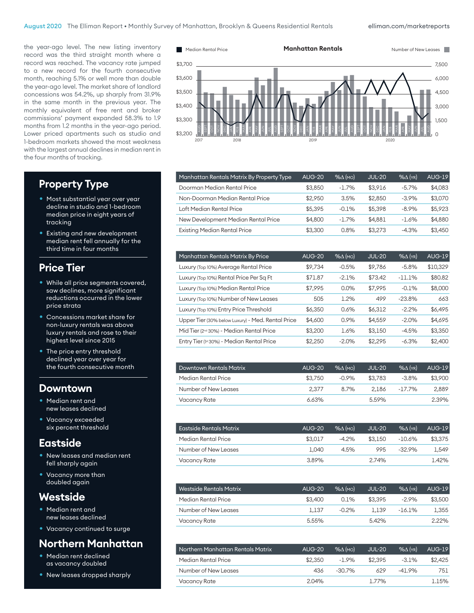#### elliman.com/marketreports

the year-ago level. The new listing inventory record was the third straight month where a record was reached. The vacancy rate jumped to a new record for the fourth consecutive month, reaching 5.1% or well more than double the year-ago level. The market share of landlord concessions was 54.2%, up sharply from 31.9% in the same month in the previous year. The monthly equivalent of free rent and broker commissions' payment expanded 58.3% to 1.9 months from 1.2 months in the year-ago period. Lower priced apartments such as studio and 1-bedroom markets showed the most weakness with the largest annual declines in median rent in the four months of tracking.



#### **Property Type**

- Most substantial year over year decline in studio and 1-bedroom median price in eight years of tracking
- Existing and new development median rent fell annually for the third time in four months

### **Price Tier**

- While all price segments covered, saw declines, more significant reductions occurred in the lower price strata
- Concessions market share for non-luxury rentals was above luxury rentals and rose to their highest level since 2015
- The price entry threshold declined year over year for the fourth consecutive month

#### **Downtown**

- Median rent and new leases declined
- Vacancy exceeded six percent threshold

#### **Eastside**

- New leases and median rent fell sharply again
- Vacancy more than doubled again

#### **Westside**

- Median rent and new leases declined
- Vacancy continued to surge

## **Northern Manhattan**

- Median rent declined as vacancy doubled
- New leases dropped sharply

| Manhattan Rentals Matrix By Property Type | <b>AUG-20</b> | $% \triangle (MO)$ | <b>JUL-20</b> | $%$ $\Delta$ (YR) | <b>AUG-19</b> |
|-------------------------------------------|---------------|--------------------|---------------|-------------------|---------------|
| Doorman Median Rental Price               | \$3.850       | $-1.7%$            | \$3.916       | $-5.7%$           | \$4.083       |
| Non-Doorman Median Rental Price           | \$2,950       | 3.5%               | \$2,850       | $-3.9%$           | \$3,070       |
| Loft Median Rental Price                  | \$5,395       | $-0.1%$            | \$5,398       | $-8.9%$           | \$5,923       |
| New Development Median Rental Price       | \$4,800       | $-1.7%$            | \$4.881       | $-1.6%$           | \$4,880       |
| <b>Existing Median Rental Price</b>       | \$3,300       | 0.8%               | \$3,273       | $-4.3%$           | \$3,450       |

| Manhattan Rentals Matrix By Price                    | <b>AUG-20</b> | $% \triangle (MO)$ | <b>JUL-20</b> | $%$ $\Delta$ (YR) | <b>AUG-19</b> |
|------------------------------------------------------|---------------|--------------------|---------------|-------------------|---------------|
| Luxury (Top 10%) Average Rental Price                | \$9,734       | $-0.5%$            | \$9,786       | $-5.8%$           | \$10,329      |
| Luxury (Top 10%) Rental Price Per Sq Ft              | \$71.87       | $-2.1%$            | \$73.42       | $-11.1%$          | \$80.82       |
| Luxury (Top 10%) Median Rental Price                 | \$7.995       | 0.0%               | \$7.995       | $-0.1%$           | \$8,000       |
| Luxury (Top 10%) Number of New Leases                | 505           | 1.2%               | 499           | $-23.8%$          | 663           |
| Luxury (Top 10%) Entry Price Threshold               | \$6,350       | 0.6%               | \$6,312       | $-2.2%$           | \$6,495       |
| Upper Tier (30% below Luxury) - Med. Rental Price    | \$4,600       | 0.9%               | \$4,559       | $-2.0%$           | \$4,695       |
| Mid Tier (2 <sup>nd</sup> 30%) - Median Rental Price | \$3,200       | 1.6%               | \$3,150       | $-4.5%$           | \$3,350       |
| Entry Tier (1st 30%) - Median Rental Price           | \$2,250       | $-2.0%$            | \$2.295       | $-6.3%$           | \$2,400       |

| <b>Downtown Rentals Matrix</b> | <b>AUG-20</b> | $%$ $\Lambda$ (MO) | <b>JUL-20</b> | $\%$ $\wedge$ (YR) | <b>AUG-19</b> |
|--------------------------------|---------------|--------------------|---------------|--------------------|---------------|
| Median Rental Price            | \$3,750       | $-0.9%$            | \$3.783       | $-3.8%$            | \$3,900       |
| Number of New Leases           | 2.377         | 8.7%               | 2.186         | -17.7%             | 2.889         |
| Vacancy Rate                   | 6.63%         |                    | 5.59%         |                    | 2.39%         |

| Eastside Rentals Matrix | <b>AUG-20</b> | $\mathcal{A}(\mathsf{MO})$ | JUL-20  | $% \triangle$ (YR) | <b>AUG-19</b> |
|-------------------------|---------------|----------------------------|---------|--------------------|---------------|
| Median Rental Price     | \$3.017       | $-4.2%$                    | \$3.150 | $-10.6\%$          | \$3.375       |
| Number of New Leases    | 1.040         | 4.5%                       | 995     | $-32.9%$           | 1.549         |
| Vacancy Rate            | 3.89%         |                            | 2.74%   |                    | 142%          |

| Westside Rentals Matrix | <b>AUG-20</b> | $%$ $\Lambda$ (MO) | <b>JUL-20</b> | $%$ $(\gamma_R)$ | <b>AUG-19</b> |
|-------------------------|---------------|--------------------|---------------|------------------|---------------|
| Median Rental Price     | \$3,400       | $0.1\%$            | \$3.395       | $-2.9%$          | \$3,500       |
| Number of New Leases    | 1.137         | $-0.2%$            | 1.139         | $-16.1\%$        | 1.355         |
| Vacancy Rate            | 5.55%         |                    | 5.42%         |                  | 2.22%         |

| Northern Manhattan Rentals Matrix | <b>AUG-20</b> | $%$ $\Lambda$ (MO) | JUL-20  | $%$ $(\gamma_R)$ | AUG-19  |
|-----------------------------------|---------------|--------------------|---------|------------------|---------|
| Median Rental Price               | \$2,350       | $-1.9%$            | \$2.395 | $-3.1%$          | \$2,425 |
| Number of New Leases              | 436           | $-30.7%$           | 629     | $-41.9%$         | 751     |
| Vacancy Rate                      | 2.04%         |                    | 1.77%   |                  | 1.15%   |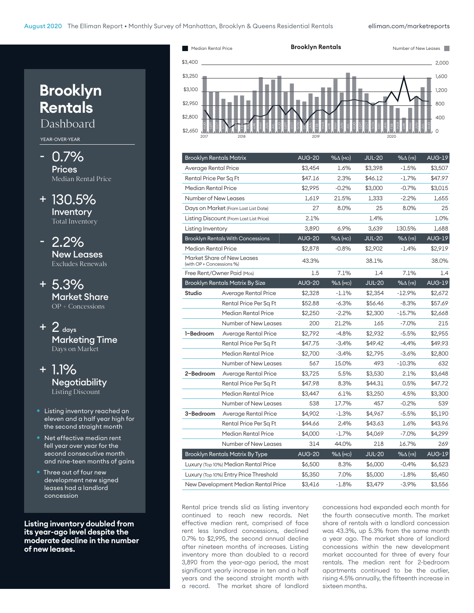elliman.com/marketreports



| <b>Brooklyn Rentals Matrix</b>         |                                          | <b>AUG-20</b> | $% \triangle (MO)$ | <b>JUL-20</b> | $% \triangle$ (YR) | <b>AUG-19</b> |
|----------------------------------------|------------------------------------------|---------------|--------------------|---------------|--------------------|---------------|
| Average Rental Price                   |                                          | \$3,454       | 1.6%               | \$3,398       | $-1.5%$            | \$3,507       |
| Rental Price Per Sq Ft                 |                                          | \$47.16       | 2.3%               | \$46.12       | $-1.7%$            | \$47.97       |
| Median Rental Price                    |                                          | \$2,995       | $-0.2%$            | \$3,000       | $-0.7%$            | \$3,015       |
| Number of New Leases                   |                                          | 1,619         | 21.5%              | 1,333         | $-2.2%$            | 1,655         |
|                                        | Days on Market (From Last List Date)     | 27            | 8.0%               | 25            | 8.0%               | 25            |
|                                        | Listing Discount (From Last List Price)  | 2.1%          |                    | 1.4%          |                    | 1.0%          |
| Listing Inventory                      |                                          | 3,890         | 6.9%               | 3,639         | 130.5%             | 1,688         |
|                                        | <b>Brooklyn Rentals With Concessions</b> | <b>AUG-20</b> | $% \triangle (MO)$ | <b>JUL-20</b> | $% \Delta$ (YR)    | <b>AUG-19</b> |
| Median Rental Price                    |                                          | \$2,878       | $-0.8%$            | \$2,902       | $-1.4%$            | \$2,919       |
| (with OP + Concessions %)              | Market Share of New Leases               | 43.3%         |                    | 38.1%         |                    | 38.0%         |
|                                        | Free Rent/Owner Paid (Mos)               | 1.5           | 7.1%               | 1.4           | 7.1%               | 1.4           |
|                                        | <b>Brooklyn Rentals Matrix By Size</b>   | <b>AUG-20</b> | $% \triangle (MO)$ | <b>JUL-20</b> | $% \Delta$ (YR)    | <b>AUG-19</b> |
| Studio                                 | Average Rental Price                     | \$2,328       | $-1.1%$            | \$2,354       | $-12.9%$           | \$2,672       |
|                                        | Rental Price Per Sq Ft                   | \$52.88       | $-6.3%$            | \$56.46       | $-8.3%$            | \$57.69       |
|                                        | Median Rental Price                      | \$2,250       | $-2.2%$            | \$2,300       | $-15.7\%$          | \$2,668       |
|                                        | Number of New Leases                     | 200           | 21.2%              | 165           | $-7.0%$            | 215           |
| 1-Bedroom                              | Average Rental Price                     | \$2,792       | $-4.8%$            | \$2,932       | $-5.5%$            | \$2,955       |
|                                        | Rental Price Per Sq Ft                   | \$47.75       | $-3.4%$            | \$49.42       | $-4.4%$            | \$49.93       |
|                                        | Median Rental Price                      | \$2,700       | $-3.4%$            | \$2,795       | $-3.6%$            | \$2,800       |
|                                        | Number of New Leases                     | 567           | 15.0%              | 493           | $-10.3%$           | 632           |
| 2-Bedroom                              | Average Rental Price                     | \$3,725       | 5.5%               | \$3,530       | 2.1%               | \$3,648       |
|                                        | Rental Price Per Sq Ft                   | \$47.98       | 8.3%               | \$44.31       | 0.5%               | \$47.72       |
|                                        | Median Rental Price                      | \$3,447       | 6.1%               | \$3,250       | 4.5%               | \$3,300       |
|                                        | Number of New Leases                     | 538           | 17.7%              | 457           | $-0.2%$            | 539           |
| 3-Bedroom                              | Average Rental Price                     | \$4,902       | $-1.3%$            | \$4,967       | $-5.5%$            | \$5,190       |
|                                        | Rental Price Per Sq Ft                   | \$44.66       | 2.4%               | \$43.63       | 1.6%               | \$43.96       |
|                                        | Median Rental Price                      | \$4,000       | $-1.7\%$           | \$4,069       | $-7.0%$            | \$4,299       |
|                                        | Number of New Leases                     | 314           | 44.0%              | 218           | 16.7%              | 269           |
| <b>Brooklyn Rentals Matrix By Type</b> |                                          | <b>AUG-20</b> | $% \triangle (MO)$ | <b>JUL-20</b> | $% \triangle (YR)$ | <b>AUG-19</b> |
|                                        | Luxury (Top 10%) Median Rental Price     |               | 8.3%               | \$6,000       | $-0.4%$            | \$6,523       |
|                                        | Luxury (Top 10%) Entry Price Threshold   |               | 7.0%               | \$5,000       | $-1.8%$            | \$5,450       |
| New Development Median Rental Price    |                                          | \$3,416       | $-1.8%$            | \$3,479       | $-3.9%$            | \$3,556       |

Rental price trends slid as listing inventory continued to reach new records. Net effective median rent, comprised of face rent less landlord concessions, declined 0.7% to \$2,995, the second annual decline after nineteen months of increases. Listing inventory more than doubled to a record 3,890 from the year-ago period, the most significant yearly increase in ten and a half years and the second straight month with a record. The market share of landlord

concessions had expanded each month for the fourth consecutive month. The market share of rentals with a landlord concession was 43.3%, up 5.3% from the same month a year ago. The market share of landlord concessions within the new development market accounted for three of every four rentals. The median rent for 2-bedroom apartments continued to be the outlier, rising 4.5% annually, the fifteenth increase in sixteen months.

# **Brooklyn Rentals**

Dashboard

#### YEAR-OVER-YEAR

- 0.7% **Prices** Median Rental Price
- + 130.5% Inventory Total Inventory
- 2.2% New Leases Excludes Renewals
- + 5.3% Market Share OP + Concessions
- $+$  2 days Marketing Time Days on Market
- + 1.1% **Negotiability** Listing Discount
- Listing inventory reached an eleven and a half year high for the second straight month
- Net effective median rent fell year over year for the second consecutive month and nine-teen months of gains
- Three out of four new development new signed leases had a landlord concession

**Listing inventory doubled from its year-ago level despite the moderate decline in the number of new leases.**